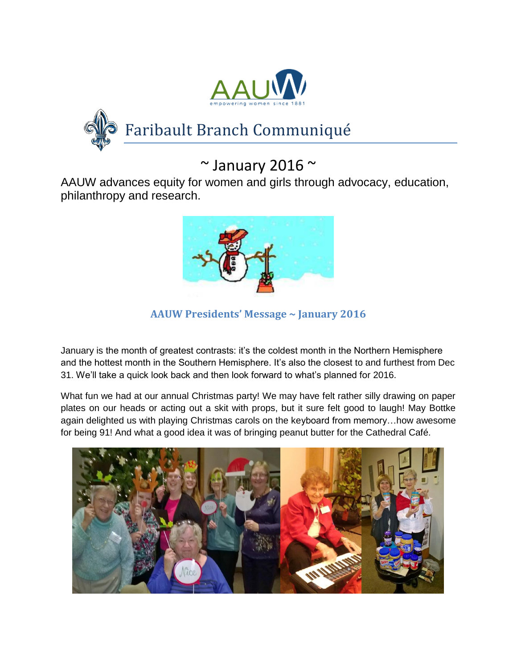



# $\sim$  January 2016  $\sim$

AAUW advances equity for women and girls through advocacy, education, philanthropy and research.



**AAUW Presidents' Message ~ January 2016**

January is the month of greatest contrasts: it's the coldest month in the Northern Hemisphere and the hottest month in the Southern Hemisphere. It's also the closest to and furthest from Dec 31. We'll take a quick look back and then look forward to what's planned for 2016.

What fun we had at our annual Christmas party! We may have felt rather silly drawing on paper plates on our heads or acting out a skit with props, but it sure felt good to laugh! May Bottke again delighted us with playing Christmas carols on the keyboard from memory…how awesome for being 91! And what a good idea it was of bringing peanut butter for the Cathedral Café.

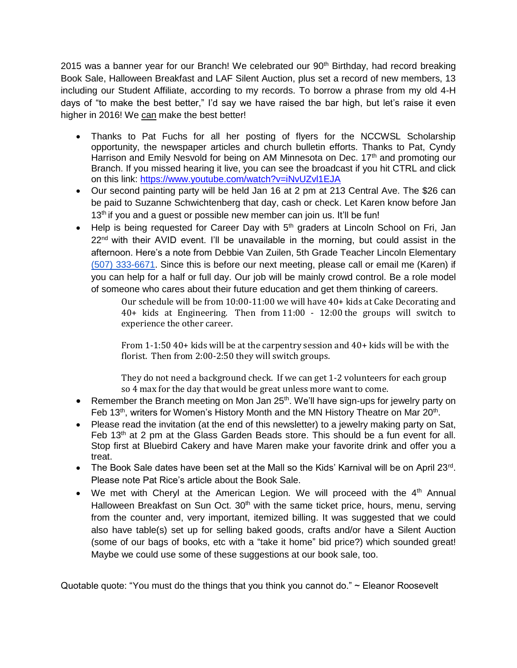2015 was a banner year for our Branch! We celebrated our 90<sup>th</sup> Birthday, had record breaking Book Sale, Halloween Breakfast and LAF Silent Auction, plus set a record of new members, 13 including our Student Affiliate, according to my records. To borrow a phrase from my old 4-H days of "to make the best better," I'd say we have raised the bar high, but let's raise it even higher in 2016! We can make the best better!

- Thanks to Pat Fuchs for all her posting of flyers for the NCCWSL Scholarship opportunity, the newspaper articles and church bulletin efforts. Thanks to Pat, Cyndy Harrison and Emily Nesvold for being on AM Minnesota on Dec. 17<sup>th</sup> and promoting our Branch. If you missed hearing it live, you can see the broadcast if you hit CTRL and click on this link:<https://www.youtube.com/watch?v=iNvUZvl1EJA>
- Our second painting party will be held Jan 16 at 2 pm at 213 Central Ave. The \$26 can be paid to Suzanne Schwichtenberg that day, cash or check. Let Karen know before Jan  $13<sup>th</sup>$  if you and a guest or possible new member can join us. It'll be fun!
- $\bullet$  Help is being requested for Career Day with  $5<sup>th</sup>$  graders at Lincoln School on Fri, Jan  $22<sup>nd</sup>$  with their AVID event. I'll be unavailable in the morning, but could assist in the afternoon. Here's a note from Debbie Van Zuilen, 5th Grade Teacher Lincoln Elementary [\(507\) 333-6671.](tel:%28507%29%20333-6671) Since this is before our next meeting, please call or email me (Karen) if you can help for a half or full day. Our job will be mainly crowd control. Be a role model of someone who cares about their future education and get them thinking of careers.

Our schedule will be from 10:00-11:00 we will have 40+ kids at Cake Decorating and 40+ kids at Engineering. Then from 11:00 - 12:00 the groups will switch to experience the other career.

From 1-1:50 40+ kids will be at the carpentry session and 40+ kids will be with the florist. Then from 2:00-2:50 they will switch groups.

They do not need a background check. If we can get 1-2 volunteers for each group so 4 max for the day that would be great unless more want to come.

- Remember the Branch meeting on Mon Jan 25<sup>th</sup>. We'll have sign-ups for jewelry party on Feb 13<sup>th</sup>, writers for Women's History Month and the MN History Theatre on Mar 20<sup>th</sup>.
- Please read the invitation (at the end of this newsletter) to a jewelry making party on Sat, Feb  $13<sup>th</sup>$  at 2 pm at the Glass Garden Beads store. This should be a fun event for all. Stop first at Bluebird Cakery and have Maren make your favorite drink and offer you a treat.
- The Book Sale dates have been set at the Mall so the Kids' Karnival will be on April 23rd. Please note Pat Rice's article about the Book Sale.
- We met with Cheryl at the American Legion. We will proceed with the  $4<sup>th</sup>$  Annual Halloween Breakfast on Sun Oct.  $30<sup>th</sup>$  with the same ticket price, hours, menu, serving from the counter and, very important, itemized billing. It was suggested that we could also have table(s) set up for selling baked goods, crafts and/or have a Silent Auction (some of our bags of books, etc with a "take it home" bid price?) which sounded great! Maybe we could use some of these suggestions at our book sale, too.

Quotable quote: "You must do the things that you think you cannot do." ~ Eleanor Roosevelt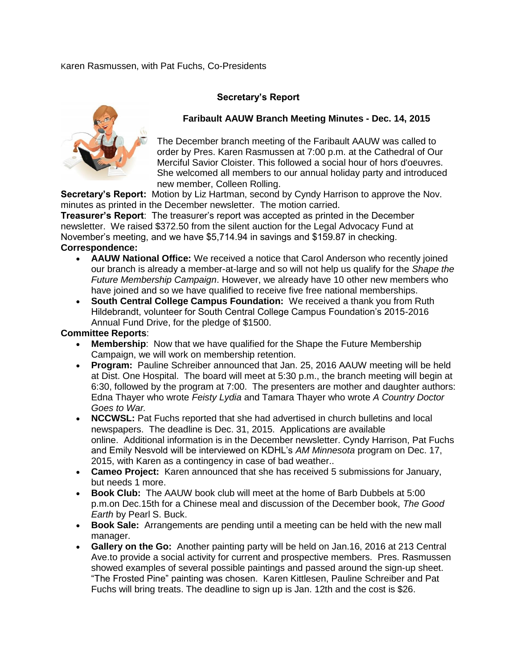## Karen Rasmussen, with Pat Fuchs, Co-Presidents

## **Secretary's Report**



## **Faribault AAUW Branch Meeting Minutes - Dec. 14, 2015**

The December branch meeting of the Faribault AAUW was called to order by Pres. Karen Rasmussen at 7:00 p.m. at the Cathedral of Our Merciful Savior Cloister. This followed a social hour of hors d'oeuvres. She welcomed all members to our annual holiday party and introduced new member, Colleen Rolling.

**Secretary's Report:** Motion by Liz Hartman, second by Cyndy Harrison to approve the Nov. minutes as printed in the December newsletter. The motion carried.

**Treasurer's Report**: The treasurer's report was accepted as printed in the December newsletter. We raised \$372.50 from the silent auction for the Legal Advocacy Fund at November's meeting, and we have \$5,714.94 in savings and \$159.87 in checking. **Correspondence:**

- **AAUW National Office:** We received a notice that Carol Anderson who recently joined our branch is already a member-at-large and so will not help us qualify for the *Shape the Future Membership Campaign*. However, we already have 10 other new members who have joined and so we have qualified to receive five free national memberships.
- **South Central College Campus Foundation:** We received a thank you from Ruth Hildebrandt, volunteer for South Central College Campus Foundation's 2015-2016 Annual Fund Drive, for the pledge of \$1500.

## **Committee Reports**:

- **Membership**: Now that we have qualified for the Shape the Future Membership Campaign, we will work on membership retention.
- **Program:** Pauline Schreiber announced that Jan. 25, 2016 AAUW meeting will be held at Dist. One Hospital. The board will meet at 5:30 p.m., the branch meeting will begin at 6:30, followed by the program at 7:00. The presenters are mother and daughter authors: Edna Thayer who wrote *Feisty Lydia* and Tamara Thayer who wrote *A Country Doctor Goes to War.*
- **NCCWSL:** Pat Fuchs reported that she had advertised in church bulletins and local newspapers. The deadline is Dec. 31, 2015. Applications are available online. Additional information is in the December newsletter. Cyndy Harrison, Pat Fuchs and Emily Nesvold will be interviewed on KDHL's *AM Minnesota* program on Dec. 17, 2015, with Karen as a contingency in case of bad weather..
- **Cameo Project:** Karen announced that she has received 5 submissions for January, but needs 1 more.
- **Book Club:** The AAUW book club will meet at the home of Barb Dubbels at 5:00 p.m.on Dec.15th for a Chinese meal and discussion of the December book, *The Good Earth* by Pearl S. Buck.
- **Book Sale:** Arrangements are pending until a meeting can be held with the new mall manager.
- **Gallery on the Go:** Another painting party will be held on Jan.16, 2016 at 213 Central Ave.to provide a social activity for current and prospective members. Pres. Rasmussen showed examples of several possible paintings and passed around the sign-up sheet. "The Frosted Pine" painting was chosen. Karen Kittlesen, Pauline Schreiber and Pat Fuchs will bring treats. The deadline to sign up is Jan. 12th and the cost is \$26.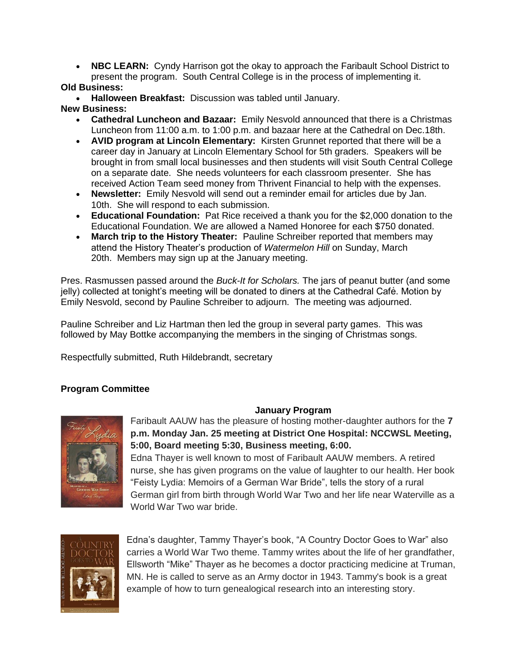• **NBC LEARN:** Cyndy Harrison got the okay to approach the Faribault School District to present the program. South Central College is in the process of implementing it.

# **Old Business:**

**Halloween Breakfast:** Discussion was tabled until January.

## **New Business:**

- **Cathedral Luncheon and Bazaar:** Emily Nesvold announced that there is a Christmas Luncheon from 11:00 a.m. to 1:00 p.m. and bazaar here at the Cathedral on Dec.18th.
- **AVID program at Lincoln Elementary:** Kirsten Grunnet reported that there will be a career day in January at Lincoln Elementary School for 5th graders. Speakers will be brought in from small local businesses and then students will visit South Central College on a separate date. She needs volunteers for each classroom presenter. She has received Action Team seed money from Thrivent Financial to help with the expenses.
- **Newsletter:** Emily Nesvold will send out a reminder email for articles due by Jan. 10th. She will respond to each submission.
- **Educational Foundation:** Pat Rice received a thank you for the \$2,000 donation to the Educational Foundation. We are allowed a Named Honoree for each \$750 donated.
- **March trip to the History Theater:** Pauline Schreiber reported that members may attend the History Theater's production of *Watermelon Hill* on Sunday, March 20th. Members may sign up at the January meeting.

Pres. Rasmussen passed around the *Buck-It for Scholars.* The jars of peanut butter (and some jelly) collected at tonight's meeting will be donated to diners at the Cathedral Cafe. Motion by Emily Nesvold, second by Pauline Schreiber to adjourn. The meeting was adjourned.

Pauline Schreiber and Liz Hartman then led the group in several party games. This was followed by May Bottke accompanying the members in the singing of Christmas songs.

Respectfully submitted, Ruth Hildebrandt, secretary

# **Program Committee**



# **January Program**

Faribault AAUW has the pleasure of hosting mother-daughter authors for the **7 p.m. Monday Jan. 25 meeting at District One Hospital: NCCWSL Meeting, 5:00, Board meeting 5:30, Business meeting, 6:00.**

Edna Thayer is well known to most of Faribault AAUW members. A retired nurse, she has given programs on the value of laughter to our health. Her book "Feisty Lydia: Memoirs of a German War Bride", tells the story of a rural German girl from birth through World War Two and her life near Waterville as a World War Two war bride.



Edna's daughter, Tammy Thayer's book, "A Country Doctor Goes to War" also carries a World War Two theme. Tammy writes about the life of her grandfather, Ellsworth "Mike" Thayer as he becomes a doctor practicing medicine at Truman, MN. He is called to serve as an Army doctor in 1943. Tammy's book is a great example of how to turn genealogical research into an interesting story.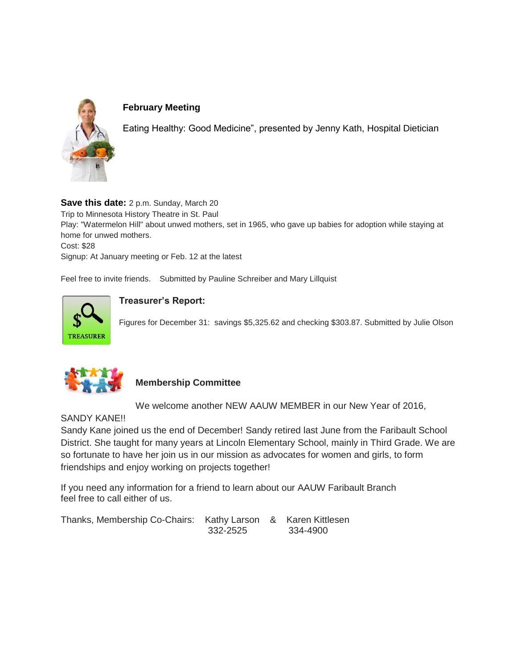

# **February Meeting**

Eating Healthy: Good Medicine", presented by Jenny Kath, Hospital Dietician

**Save this date:** 2 p.m. Sunday, March 20 Trip to Minnesota History Theatre in St. Paul Play: "Watermelon Hill" about unwed mothers, set in 1965, who gave up babies for adoption while staying at home for unwed mothers. Cost: \$28 Signup: At January meeting or Feb. 12 at the latest

Feel free to invite friends. Submitted by Pauline Schreiber and Mary Lillquist



# **Treasurer's Report:**

Figures for December 31: savings \$5,325.62 and checking \$303.87. Submitted by Julie Olson



# **Membership Committee**

We welcome another NEW AAUW MEMBER in our New Year of 2016,

SANDY KANE!!

Sandy Kane joined us the end of December! Sandy retired last June from the Faribault School District. She taught for many years at Lincoln Elementary School, mainly in Third Grade. We are so fortunate to have her join us in our mission as advocates for women and girls, to form friendships and enjoy working on projects together!

If you need any information for a friend to learn about our AAUW Faribault Branch feel free to call either of us.

| Thanks, Membership Co-Chairs: Kathy Larson & Karen Kittlesen |          |          |
|--------------------------------------------------------------|----------|----------|
|                                                              | 332-2525 | 334-4900 |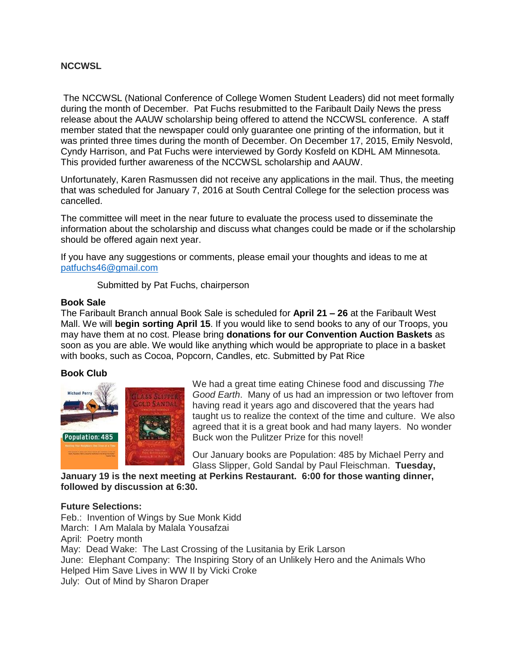## **NCCWSL**

The NCCWSL (National Conference of College Women Student Leaders) did not meet formally during the month of December. Pat Fuchs resubmitted to the Faribault Daily News the press release about the AAUW scholarship being offered to attend the NCCWSL conference. A staff member stated that the newspaper could only guarantee one printing of the information, but it was printed three times during the month of December. On December 17, 2015, Emily Nesvold, Cyndy Harrison, and Pat Fuchs were interviewed by Gordy Kosfeld on KDHL AM Minnesota. This provided further awareness of the NCCWSL scholarship and AAUW.

Unfortunately, Karen Rasmussen did not receive any applications in the mail. Thus, the meeting that was scheduled for January 7, 2016 at South Central College for the selection process was cancelled.

The committee will meet in the near future to evaluate the process used to disseminate the information about the scholarship and discuss what changes could be made or if the scholarship should be offered again next year.

If you have any suggestions or comments, please email your thoughts and ideas to me at [patfuchs46@gmail.com](mailto:patfuchs46@gmail.com)

Submitted by Pat Fuchs, chairperson

### **Book Sale**

The Faribault Branch annual Book Sale is scheduled for **April 21 – 26** at the Faribault West Mall. We will **begin sorting April 15**. If you would like to send books to any of our Troops, you may have them at no cost. Please bring **donations for our Convention Auction Baskets** as soon as you are able. We would like anything which would be appropriate to place in a basket with books, such as Cocoa, Popcorn, Candles, etc. Submitted by Pat Rice

### **Book Club**



We had a great time eating Chinese food and discussing *The Good Earth*. Many of us had an impression or two leftover from having read it years ago and discovered that the years had taught us to realize the context of the time and culture. We also agreed that it is a great book and had many layers. No wonder Buck won the Pulitzer Prize for this novel!

Our January books are Population: 485 by Michael Perry and Glass Slipper, Gold Sandal by Paul Fleischman. **Tuesday,** 

**January 19 is the next meeting at Perkins Restaurant. 6:00 for those wanting dinner, followed by discussion at 6:30.**

### **Future Selections:**

Feb.: Invention of Wings by Sue Monk Kidd March: I Am Malala by Malala Yousafzai April: Poetry month May: Dead Wake: The Last Crossing of the Lusitania by Erik Larson June: Elephant Company: The Inspiring Story of an Unlikely Hero and the Animals Who Helped Him Save Lives in WW II by Vicki Croke July: Out of Mind by Sharon Draper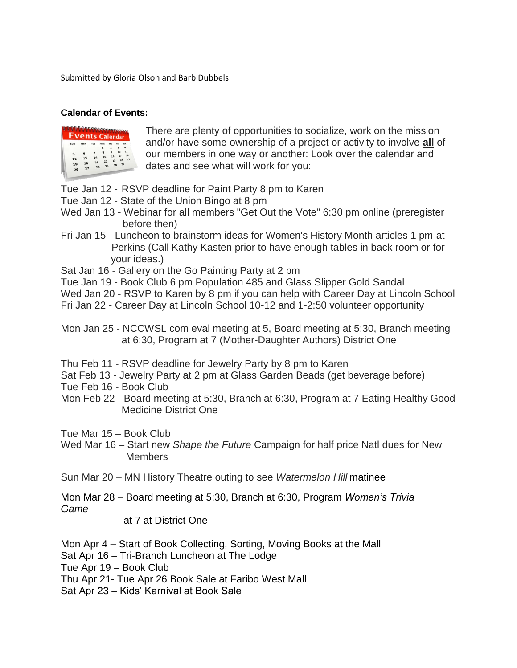Submitted by Gloria Olson and Barb Dubbels

# **Calendar of Events:**



There are plenty of opportunities to socialize, work on the mission and/or have some ownership of a project or activity to involve **all** of our members in one way or another: Look over the calendar and dates and see what will work for you:

Tue Jan 12 - RSVP deadline for Paint Party 8 pm to Karen

- Tue Jan 12 State of the Union Bingo at 8 pm
- Wed Jan 13 Webinar for all members "Get Out the Vote" 6:30 pm online (preregister before then)
- Fri Jan 15 Luncheon to brainstorm ideas for Women's History Month articles 1 pm at Perkins (Call Kathy Kasten prior to have enough tables in back room or for your ideas.)

Sat Jan 16 - Gallery on the Go Painting Party at 2 pm

Tue Jan 19 - Book Club 6 pm Population 485 and Glass Slipper Gold Sandal

Wed Jan 20 - RSVP to Karen by 8 pm if you can help with Career Day at Lincoln School Fri Jan 22 - Career Day at Lincoln School 10-12 and 1-2:50 volunteer opportunity

- Thu Feb 11 RSVP deadline for Jewelry Party by 8 pm to Karen
- Sat Feb 13 Jewelry Party at 2 pm at Glass Garden Beads (get beverage before)
- Tue Feb 16 Book Club
- Mon Feb 22 Board meeting at 5:30, Branch at 6:30, Program at 7 Eating Healthy Good Medicine District One
- Tue Mar 15 Book Club
- Wed Mar 16 Start new *Shape the Future* Campaign for half price Natl dues for New **Members**
- Sun Mar 20 MN History Theatre outing to see *Watermelon Hill* matinee
- Mon Mar 28 Board meeting at 5:30, Branch at 6:30, Program *Women's Trivia Game*

at 7 at District One

- Mon Apr 4 Start of Book Collecting, Sorting, Moving Books at the Mall
- Sat Apr 16 Tri-Branch Luncheon at The Lodge

Tue Apr 19 – Book Club

Thu Apr 21- Tue Apr 26 Book Sale at Faribo West Mall

Sat Apr 23 – Kids' Karnival at Book Sale

Mon Jan 25 - NCCWSL com eval meeting at 5, Board meeting at 5:30, Branch meeting at 6:30, Program at 7 (Mother-Daughter Authors) District One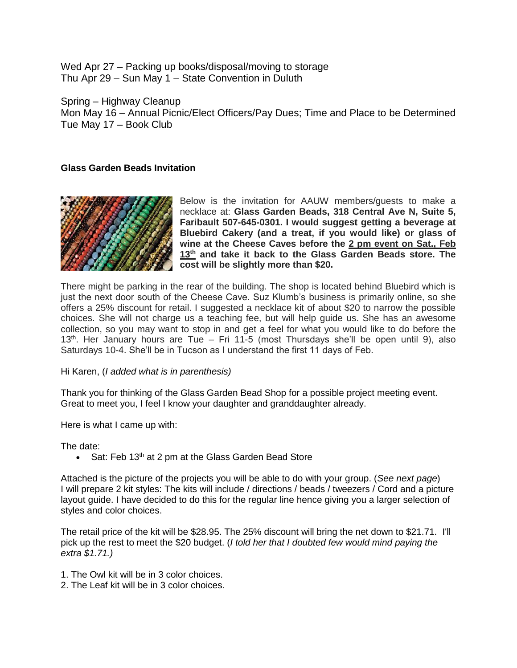Wed Apr 27 – Packing up books/disposal/moving to storage Thu Apr 29 – Sun May 1 – State Convention in Duluth

Spring – Highway Cleanup Mon May 16 – Annual Picnic/Elect Officers/Pay Dues; Time and Place to be Determined Tue May 17 – Book Club

## **Glass Garden Beads Invitation**



Below is the invitation for AAUW members/guests to make a necklace at: **Glass Garden Beads, 318 Central Ave N, Suite 5, Faribault 507-645-0301. I would suggest getting a beverage at Bluebird Cakery (and a treat, if you would like) or glass of wine at the Cheese Caves before the 2 pm event on Sat., Feb 13th and take it back to the Glass Garden Beads store. The cost will be slightly more than \$20.**

There might be parking in the rear of the building. The shop is located behind Bluebird which is just the next door south of the Cheese Cave. Suz Klumb's business is primarily online, so she offers a 25% discount for retail. I suggested a necklace kit of about \$20 to narrow the possible choices. She will not charge us a teaching fee, but will help guide us. She has an awesome collection, so you may want to stop in and get a feel for what you would like to do before the  $13<sup>th</sup>$ . Her January hours are Tue – Fri 11-5 (most Thursdays she'll be open until 9), also Saturdays 10-4. She'll be in Tucson as I understand the first 11 days of Feb.

Hi Karen, (*I added what is in parenthesis)*

Thank you for thinking of the Glass Garden Bead Shop for a possible project meeting event. Great to meet you, I feel I know your daughter and granddaughter already.

Here is what I came up with:

The date:

• Sat: Feb 13<sup>th</sup> at 2 pm at the Glass Garden Bead Store

Attached is the picture of the projects you will be able to do with your group. (*See next page*) I will prepare 2 kit styles: The kits will include / directions / beads / tweezers / Cord and a picture layout guide. I have decided to do this for the regular line hence giving you a larger selection of styles and color choices.

The retail price of the kit will be \$28.95. The 25% discount will bring the net down to \$21.71. I'll pick up the rest to meet the \$20 budget. (*I told her that I doubted few would mind paying the extra \$1.71.)*

- 1. The Owl kit will be in 3 color choices.
- 2. The Leaf kit will be in 3 color choices.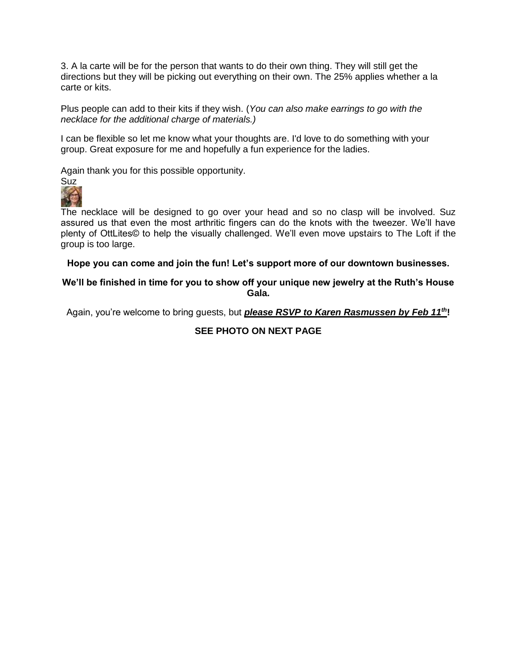3. A la carte will be for the person that wants to do their own thing. They will still get the directions but they will be picking out everything on their own. The 25% applies whether a la carte or kits.

Plus people can add to their kits if they wish. (*You can also make earrings to go with the necklace for the additional charge of materials.)*

I can be flexible so let me know what your thoughts are. I'd love to do something with your group. Great exposure for me and hopefully a fun experience for the ladies.

Again thank you for this possible opportunity.



The necklace will be designed to go over your head and so no clasp will be involved. Suz assured us that even the most arthritic fingers can do the knots with the tweezer. We'll have plenty of OttLites© to help the visually challenged. We'll even move upstairs to The Loft if the group is too large.

### **Hope you can come and join the fun! Let's support more of our downtown businesses.**

## **We'll be finished in time for you to show off your unique new jewelry at the Ruth's House Gala.**

Again, you're welcome to bring guests, but *please RSVP to Karen Rasmussen by Feb 11th***!**

## **SEE PHOTO ON NEXT PAGE**